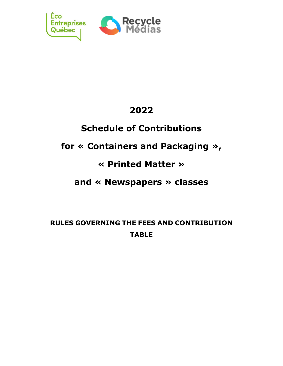

# **2022**

# **Schedule of Contributions**

# **for « Containers and Packaging »,**

# **« Printed Matter »**

## **and « Newspapers » classes**

**RULES GOVERNING THE FEES AND CONTRIBUTION TABLE**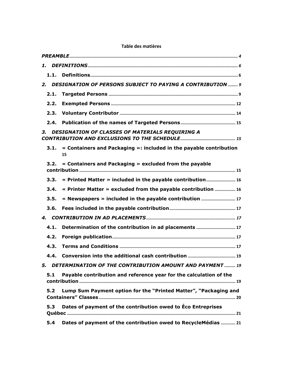|      | 2. DESIGNATION OF PERSONS SUBJECT TO PAYING A CONTRIBUTION  9            |
|------|--------------------------------------------------------------------------|
| 2.1. |                                                                          |
| 2.2. |                                                                          |
| 2.3. |                                                                          |
| 2.4. |                                                                          |
| 3.   | DESIGNATION OF CLASSES OF MATERIALS REQUIRING A                          |
| 3.1. | « Containers and Packaging »: included in the payable contribution<br>15 |
| 3.2. | « Containers and Packaging » excluded from the payable                   |
| 3.3. | « Printed Matter » included in the payable contribution 16               |
| 3.4. | « Printer Matter » excluded from the payable contribution  16            |
| 3.5. | « Newspapers » included in the payable contribution  17                  |
| 3.6. |                                                                          |
|      |                                                                          |
| 4.1. |                                                                          |
| 4.2. |                                                                          |
| 4.3. |                                                                          |
| 4.4. |                                                                          |
| 5.   | DETERMINATION OF THE CONTRIBUTION AMOUNT AND PAYMENT  19                 |
| 5.1  | Payable contribution and reference year for the calculation of the       |
| 5.2  | Lump Sum Payment option for the "Printed Matter", "Packaging and         |
| 5.3  | Dates of payment of the contribution owed to Eco Entreprises             |
| 5.4  | Dates of payment of the contribution owed to RecycleMédias  21           |

## **Table des matières**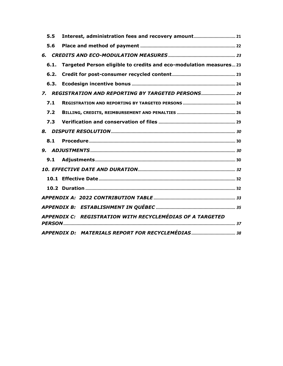| 5.5  | Interest, administration fees and recovery amount 21               |
|------|--------------------------------------------------------------------|
| 5.6  |                                                                    |
| 6.   |                                                                    |
| 6.1. | Targeted Person eligible to credits and eco-modulation measures 23 |
| 6.2. |                                                                    |
| 6.3. |                                                                    |
|      | 7. REGISTRATION AND REPORTING BY TARGETED PERSONS                  |
| 7.1  |                                                                    |
| 7.2  |                                                                    |
| 7.3  |                                                                    |
|      |                                                                    |
| 8.1  |                                                                    |
|      |                                                                    |
| 9.1  |                                                                    |
|      |                                                                    |
|      |                                                                    |
|      |                                                                    |
|      |                                                                    |
|      |                                                                    |
|      | APPENDIX C: REGISTRATION WITH RECYCLEMÉDIAS OF A TARGETED          |
|      |                                                                    |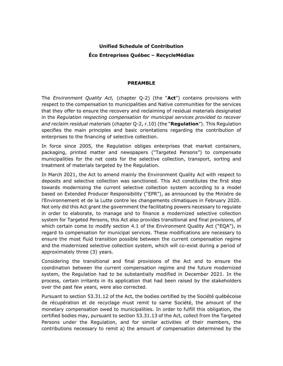## **Unified Schedule of Contribution Éco Entreprises Québec – RecycleMédias**

#### **PREAMBLE**

<span id="page-3-0"></span>The *Environment Quality Act,* (chapter Q-2) (the "**Act**") contains provisions with respect to the compensation to municipalities and Native communities for the services that they offer to ensure the recovery and reclaiming of residual materials designated in the *Regulation respecting compensation for municipal services provided to recover and reclaim residual materials* (chapter Q-2, r.10) (the "**Regulation**"). This Regulation specifies the main principles and basic orientations regarding the contribution of enterprises to the financing of selective collection.

In force since 2005, the Regulation obliges enterprises that market containers, packaging, printed matter and newspapers ("Targeted Persons") to compensate municipalities for the net costs for the selective collection, transport, sorting and treatment of materials targeted by the Regulation.

In March 2021, the Act to amend mainly the Environment Quality Act with respect to deposits and selective collection was sanctioned. This Act constitutes the first step towards modernizing the current selective collection system according to a model based on Extended Producer Responsibility ("EPR"), as announced by the Ministre de l'Environnement et de la Lutte contre les changements climatiques in February 2020. Not only did this Act grant the government the facilitating powers necessary to regulate in order to elaborate, to manage and to finance a modernized selective collection system for Targeted Persons, this Act also provides transitional and final provisions, of which certain come to modify section 4.1 of the Environment Quality Act ("EQA"), in regard to compensation for municipal services. These modifications are necessary to ensure the most fluid transition possible between the current compensation regime and the modernized selective collection system, which will co-exist during a period of approximately three (3) years.

Considering the transitional and final provisions of the Act and to ensure the coordination between the current compensation regime and the future modernized system, the Regulation had to be substantially modified in December 2021. In the process, certain irritants in its application that had been raised by the stakeholders over the past few years, were also corrected.

Pursuant to section 53.31.12 of the Act, the bodies certified by the Société québécoise de récupération et de recyclage must remit to same Société, the amount of the monetary compensation owed to municipalities. In order to fulfill this obligation, the certified bodies may, pursuant to section 53.31.13 of the Act, collect from the Targeted Persons under the Regulation, and for similar activities of their members, the contributions necessary to remit a) the amount of compensation determined by the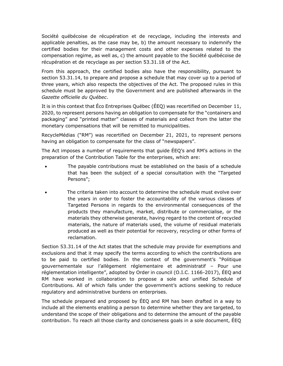Société québécoise de récupération et de recyclage, including the interests and applicable penalties, as the case may be, b) the amount necessary to indemnify the certified bodies for their management costs and other expenses related to the compensation regime, as well as, c) the amount payable to the Société québécoise de récupération et de recyclage as per section 53.31.18 of the Act.

From this approach, the certified bodies also have the responsibility, pursuant to section 53.31.14, to prepare and propose a schedule that may cover up to a period of three years, which also respects the objectives of the Act. The proposed rules in this schedule must be approved by the Government and are published afterwards in the *Gazette officielle du Québec*.

It is in this context that Éco Entreprises Québec (ÉEQ) was recertified on December 11, 2020, to represent persons having an obligation to compensate for the "containers and packaging" and "printed matter" classes of materials and collect from the latter the monetary compensations that will be remitted to municipalities.

RecycleMédias ("RM") was recertified on December 21, 2021, to represent persons having an obligation to compensate for the class of "newspapers".

The Act imposes a number of requirements that guide ÉEQ's and RM's actions in the preparation of the Contribution Table for the enterprises, which are:

- The payable contributions must be established on the basis of a schedule that has been the subject of a special consultation with the "Targeted Persons";
- The criteria taken into account to determine the schedule must evolve over the years in order to foster the accountability of the various classes of Targeted Persons in regards to the environmental consequences of the products they manufacture, market, distribute or commercialise, or the materials they otherwise generate, having regard to the content of recycled materials, the nature of materials used, the volume of residual materials produced as well as their potential for recovery, recycling or other forms of reclamation.

Section 53.31.14 of the Act states that the schedule may provide for exemptions and exclusions and that it may specify the terms according to which the contributions are to be paid to certified bodies. In the context of the government's "Politique gouvernementale sur l'allègement réglementaire et administratif – Pour une réglementation intelligente", adopted by Order in council (O.I.C. 1166-2017), ÉEQ and RM have worked in collaboration to propose a sole and unified Schedule of Contributions. All of which falls under the government's actions seeking to reduce regulatory and administrative burdens on enterprises.

The schedule prepared and proposed by ÉEQ and RM has been drafted in a way to include all the elements enabling a person to determine whether they are targeted, to understand the scope of their obligations and to determine the amount of the payable contribution. To reach all those clarity and conciseness goals in a sole document, ÉEQ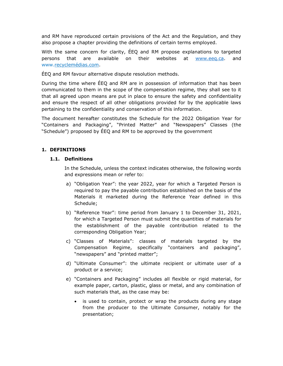and RM have reproduced certain provisions of the Act and the Regulation, and they also propose a chapter providing the definitions of certain terms employed.

With the same concern for clarity, ÉEQ and RM propose explanations to targeted persons that are available on their websites at [www.eeq.ca.](http://www.eeq.ca/) and www.recyclemédias.com.

ÉEQ and RM favour alternative dispute resolution methods.

During the time where ÉEQ and RM are in possession of information that has been communicated to them in the scope of the compensation regime, they shall see to it that all agreed upon means are put in place to ensure the safety and confidentiality and ensure the respect of all other obligations provided for by the applicable laws pertaining to the confidentiality and conservation of this information.

The document hereafter constitutes the Schedule for the 2022 Obligation Year for "Containers and Packaging", "Printed Matter" and "Newspapers" Classes (the "Schedule") proposed by ÉEQ and RM to be approved by the government

## <span id="page-5-1"></span><span id="page-5-0"></span>**1. DEFINITIONS**

#### **1.1. Definitions**

In the Schedule, unless the context indicates otherwise, the following words and expressions mean or refer to:

- a) "Obligation Year": the year 2022, year for which a Targeted Person is required to pay the payable contribution established on the basis of the Materials it marketed during the Reference Year defined in this Schedule;
- b) "Reference Year": time period from January 1 to December 31, 2021, for which a Targeted Person must submit the quantities of materials for the establishment of the payable contribution related to the corresponding Obligation Year;
- c) "Classes of Materials": classes of materials targeted by the Compensation Regime, specifically "containers and packaging", "newspapers" and "printed matter";
- d) "Ultimate Consumer": the ultimate recipient or ultimate user of a product or a service;
- e) "Containers and Packaging" includes all flexible or rigid material, for example paper, carton, plastic, glass or metal, and any combination of such materials that, as the case may be:
	- is used to contain, protect or wrap the products during any stage from the producer to the Ultimate Consumer, notably for the presentation;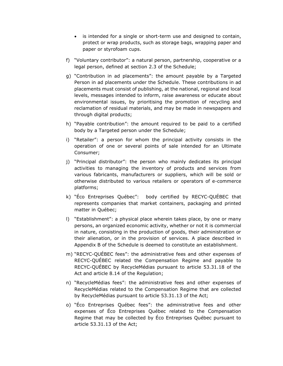- is intended for a single or short-term use and designed to contain, protect or wrap products, such as storage bags, wrapping paper and paper or styrofoam cups.
- f) "Voluntary contributor": a natural person, partnership, cooperative or a legal person, defined at section [2.3](#page-13-0) of the Schedule;
- g) "Contribution in ad placements": the amount payable by a Targeted Person in ad placements under the Schedule. These contributions in ad placements must consist of publishing, at the national, regional and local levels, messages intended to inform, raise awareness or educate about environmental issues, by prioritising the promotion of recycling and reclamation of residual materials, and may be made in newspapers and through digital products;
- h) "Payable contribution": the amount required to be paid to a certified body by a Targeted person under the Schedule;
- i) "Retailer": a person for whom the principal activity consists in the operation of one or several points of sale intended for an Ultimate Consumer;
- j) "Principal distributor": the person who mainly dedicates its principal activities to managing the inventory of products and services from various fabricants, manufacturers or suppliers, which will be sold or otherwise distributed to various retailers or operators of e-commerce platforms;
- k) "Éco Entreprises Québec": body certified by RECYC-QUÉBEC that represents companies that market containers, packaging and printed matter in Québec;
- l) "Establishment": a physical place wherein takes place, by one or many persons, an organized economic activity, whether or not it is commercial in nature, consisting in the production of goods, their administration or their alienation, or in the provision of services. A place described in Appendix B of the Schedule is deemed to constitute an establishment.
- m) "RECYC-QUÉBEC fees": the administrative fees and other expenses of RECYC-QUÉBEC related the Compensation Regime and payable to RECYC-QUÉBEC by RecycleMédias pursuant to article 53.31.18 of the Act and article 8.14 of the Regulation;
- n) "RecycleMédias fees": the administrative fees and other expenses of RecycleMédias related to the Compensation Regime that are collected by RecycleMédias pursuant to article 53.31.13 of the Act;
- o) "Éco Entreprises Québec fees": the administrative fees and other expenses of Éco Entreprises Québec related to the Compensation Regime that may be collected by Éco Entreprises Québec pursuant to article 53.31.13 of the Act;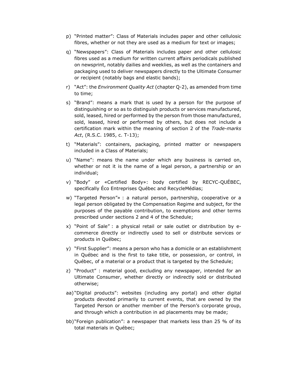- p) "Printed matter": Class of Materials includes paper and other cellulosic fibres, whether or not they are used as a medium for text or images;
- q) "Newspapers": Class of Materials includes paper and other cellulosic fibres used as a medium for written current affairs periodicals published on newsprint, notably dailies and weeklies, as well as the containers and packaging used to deliver newspapers directly to the Ultimate Consumer or recipient (notably bags and elastic bands);
- r) "Act": the *Environment Quality Act* (chapter Q-2), as amended from time to time;
- s) "Brand": means a mark that is used by a person for the purpose of distinguishing or so as to distinguish products or services manufactured, sold, leased, hired or performed by the person from those manufactured, sold, leased, hired or performed by others, but does not include a certification mark within the meaning of section 2 of the *Trade-marks Act*, (R.S.C. 1985, c. T-13);
- t) "Materials": containers, packaging, printed matter or newspapers included in a Class of Materials;
- u) "Name": means the name under which any business is carried on, whether or not it is the name of a legal person, a partnership or an individual;
- v) "Body" or «Certified Body»: body certified by RECYC-QUÉBEC, specifically Éco Entreprises Québec and RecycleMédias;
- w) "Targeted Person"» : a natural person, partnership, cooperative or a legal person obligated by the Compensation Regime and subject, for the purposes of the payable contribution, to exemptions and other terms prescribed under sections 2 and 4 of the Schedule;
- x) "Point of Sale" : a physical retail or sale outlet or distribution by ecommerce directly or indirectly used to sell or distribute services or products in Québec;
- y) "First Supplier": means a person who has a domicile or an establishment in Québec and is the first to take title, or possession, or control, in Québec, of a material or a product that is targeted by the Schedule;
- z) "Product" : material good, excluding any newspaper, intended for an Ultimate Consumer, whether directly or indirectly sold or distributed otherwise;
- aa) "Digital products": websites (including any portal) and other digital products devoted primarily to current events, that are owned by the Targeted Person or another member of the Person's corporate group, and through which a contribution in ad placements may be made;
- bb)"Foreign publication": a newspaper that markets less than 25 % of its total materials in Québec;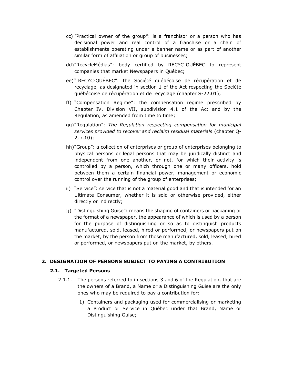- cc) "Practical owner of the group": is a franchisor or a person who has decisional power and real control of a franchise or a chain of establishments operating under a banner name or as part of another similar form of affiliation or group of businesses;
- dd)"RecycleMédias": body certified by RECYC-QUÉBEC to represent companies that market Newspapers in Québec;
- ee) " RECYC-QUÉBEC": the Société québécoise de récupération et de recyclage, as designated in section 1 of the Act respecting the Société québécoise de récupération et de recyclage (chapter S-22.01);
- ff) "Compensation Regime": the compensation regime prescribed by Chapter IV, Division VII, subdivision 4.1 of the Act and by the Regulation, as amended from time to time;
- gg)"Regulation": *The Regulation respecting compensation for municipal services provided to recover and reclaim residual materials* (chapter Q-2, r.10);
- hh)"Group": a collection of enterprises or group of enterprises belonging to physical persons or legal persons that may be juridically distinct and independent from one another, or not, for which their activity is controlled by a person, which through one or many officers, hold between them a certain financial power, management or economic control over the running of the group of enterprises;
- ii) "Service": service that is not a material good and that is intended for an Ultimate Consumer, whether it is sold or otherwise provided, either directly or indirectly;
- jj) "Distinguishing Guise": means the shaping of containers or packaging or the format of a newspaper, the appearance of which is used by a person for the purpose of distinguishing or so as to distinguish products manufactured, sold, leased, hired or performed, or newspapers put on the market, by the person from those manufactured, sold, leased, hired or performed, or newspapers put on the market, by others.

#### <span id="page-8-1"></span><span id="page-8-0"></span>**2. DESIGNATION OF PERSONS SUBJECT TO PAYING A CONTRIBUTION**

#### **2.1. Targeted Persons**

- 2.1.1. The persons referred to in sections 3 and 6 of the Regulation, that are the owners of a Brand, a Name or a Distinguishing Guise are the only ones who may be required to pay a contribution for:
	- 1) Containers and packaging used for commercialising or marketing a Product or Service in Québec under that Brand, Name or Distinguishing Guise;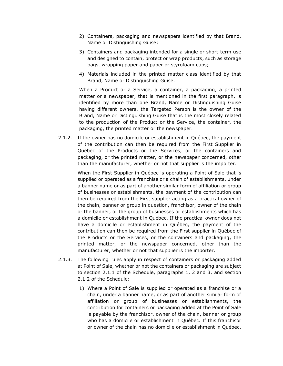- 2) Containers, packaging and newspapers identified by that Brand, Name or Distinguishing Guise;
- 3) Containers and packaging intended for a single or short-term use and designed to contain, protect or wrap products, such as storage bags, wrapping paper and paper or styrofoam cups;
- 4) Materials included in the printed matter class identified by that Brand, Name or Distinguishing Guise.

When a Product or a Service, a container, a packaging, a printed matter or a newspaper, that is mentioned in the first paragraph, is identified by more than one Brand, Name or Distinguishing Guise having different owners, the Targeted Person is the owner of the Brand, Name or Distinguishing Guise that is the most closely related to the production of the Product or the Service, the container, the packaging, the printed matter or the newspaper.

2.1.2. If the owner has no domicile or establishment in Québec, the payment of the contribution can then be required from the First Supplier in Québec of the Products or the Services, or the containers and packaging, or the printed matter, or the newspaper concerned, other than the manufacturer, whether or not that supplier is the importer.

> When the First Supplier in Québec is operating a Point of Sale that is supplied or operated as a franchise or a chain of establishments, under a banner name or as part of another similar form of affiliation or group of businesses or establishments, the payment of the contribution can then be required from the First supplier acting as a practical owner of the chain, banner or group in question, franchisor, owner of the chain or the banner, or the group of businesses or establishments which has a domicile or establishment in Québec. If the practical owner does not have a domicile or establishment in Québec, the payment of the contribution can then be required from the First supplier in Québec of the Products or the Services, or the containers and packaging, the printed matter, or the newspaper concerned, other than the manufacturer, whether or not that supplier is the importer.

- 2.1.3. The following rules apply in respect of containers or packaging added at Point of Sale, whether or not the containers or packaging are subject to section 2.1.1 of the Schedule, paragraphs 1, 2 and 3, and section 2.1.2 of the Schedule:
	- 1) Where a Point of Sale is supplied or operated as a franchise or a chain, under a banner name, or as part of another similar form of affiliation or group of businesses or establishments, the contribution for containers or packaging added at the Point of Sale is payable by the franchisor, owner of the chain, banner or group who has a domicile or establishment in Québec. If this franchisor or owner of the chain has no domicile or establishment in Québec,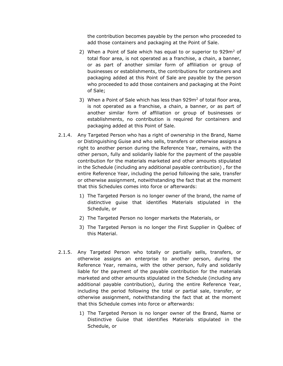the contribution becomes payable by the person who proceeded to add those containers and packaging at the Point of Sale.

- 2) When a Point of Sale which has equal to or superior to  $929m^2$  of total floor area, is not operated as a franchise, a chain, a banner, or as part of another similar form of affiliation or group of businesses or establishments, the contributions for containers and packaging added at this Point of Sale are payable by the person who proceeded to add those containers and packaging at the Point of Sale;
- 3) When a Point of Sale which has less than  $929m<sup>2</sup>$  of total floor area, is not operated as a franchise, a chain, a banner, or as part of another similar form of affiliation or group of businesses or establishments, no contribution is required for containers and packaging added at this Point of Sale.
- 2.1.4. Any Targeted Person who has a right of ownership in the Brand, Name or Distinguishing Guise and who sells, transfers or otherwise assigns a right to another person during the Reference Year, remains, with the other person, fully and solidarily liable for the payment of the payable contribution for the materials marketed and other amounts stipulated in the Schedule (including any additional payable contribution) , for the entire Reference Year, including the period following the sale, transfer or otherwise assignment, notwithstanding the fact that at the moment that this Schedules comes into force or afterwards:
	- 1) The Targeted Person is no longer owner of the brand, the name of distinctive guise that identifies Materials stipulated in the Schedule, or
	- 2) The Targeted Person no longer markets the Materials, or
	- 3) The Targeted Person is no longer the First Supplier in Québec of this Material.
- 2.1.5. Any Targeted Person who totally or partially sells, transfers, or otherwise assigns an enterprise to another person, during the Reference Year, remains, with the other person, fully and solidarily liable for the payment of the payable contribution for the materials marketed and other amounts stipulated in the Schedule (including any additional payable contribution), during the entire Reference Year, including the period following the total or partial sale, transfer, or otherwise assignment, notwithstanding the fact that at the moment that this Schedule comes into force or afterwards:
	- 1) The Targeted Person is no longer owner of the Brand, Name or Distinctive Guise that identifies Materials stipulated in the Schedule, or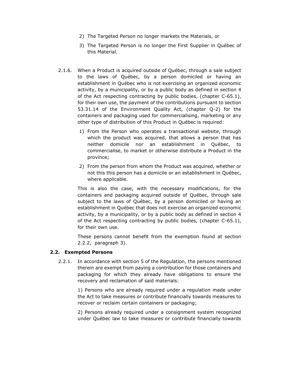- 2) The Targeted Person no longer markets the Materials, or
- 3) The Targeted Person is no longer the First Supplier in Québec of this Material.
- 2.1.6. When a Product is acquired outside of Québec, through a sale subject to the laws of Québec, by a person domiciled or having an establishment in Québec who is not exercising an organized economic activity, by a municipality, or by a public body as defined in section 4 of the Act respecting contracting by public bodies, (chapter C-65.1), for their own use, the payment of the contributions pursuant to section 53.31.14 of the Environment Quality Act, (chapter Q-2) for the containers and packaging used for commercialising, marketing or any other type of distribution of this Product in Québec is required:
	- 1) From the Person who operates a transactional website, through which the product was acquired, that allows a person that has neither domicile nor an establishment in Québec, to commercialise, to market or otherwise distribute a Product in the province;
	- 2) From the person from whom the Product was acquired, whether or not this this person has a domicile or an establishment in Québec, where applicable.

This is also the case, with the necessary modifications, for the containers and packaging acquired outside of Québec, through sale subject to the laws of Québec, by a person domiciled or having an establishment in Québec that does not exercise an organized economic activity, by a municipality, or by a public body as defined in section 4 of the Act respecting contracting by public bodies, (chapter C-65.1), for their own use.

These persons cannot benefit from the exemption found at section [2.2.2,](#page-12-0) paragraph [3\).](#page-12-1)

#### <span id="page-11-0"></span>**2.2. Exempted Persons**

2.2.1. In accordance with section 5 of the Regulation, the persons mentioned therein are exempt from paying a contribution for those containers and packaging for which they already have obligations to ensure the recovery and reclamation of said materials:

> 1) Persons who are already required under a regulation made under the Act to take measures or contribute financially towards measures to recover or reclaim certain containers or packaging;

> 2) Persons already required under a consignment system recognized under Québec law to take measures or contribute financially towards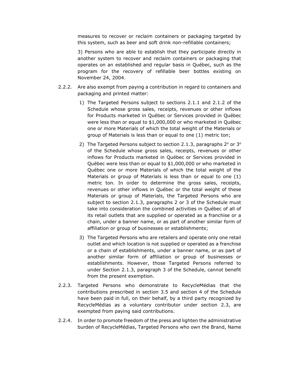measures to recover or reclaim containers or packaging targeted by this system, such as beer and soft drink non-refillable containers;

3) Persons who are able to establish that they participate directly in another system to recover and reclaim containers or packaging that operates on an established and regular basis in Québec, such as the program for the recovery of refillable beer bottles existing on November 24, 2004.

- <span id="page-12-0"></span>2.2.2. Are also exempt from paying a contribution in regard to containers and packaging and printed matter:
	- 1) The Targeted Persons subject to sections 2.1.1 and 2.1.2 of the Schedule whose gross sales, receipts, revenues or other inflows for Products marketed in Québec or Services provided in Québec were less than or equal to \$1,000,000 or who marketed in Québec one or more Materials of which the total weight of the Materials or group of Materials is less than or equal to one (1) metric ton;
	- 2) The Targeted Persons subject to section 2.1.3, paragraphs  $2^{\circ}$  or  $3^{\circ}$ of the Schedule whose gross sales, receipts, revenues or other inflows for Products marketed in Québec or Services provided in Québec were less than or equal to \$1,000,000 or who marketed in Québec one or more Materials of which the total weight of the Materials or group of Materials is less than or equal to one (1) metric ton. In order to determine the gross sales, receipts, revenues or other inflows in Québec or the total weight of these Materials or group of Materials, the Targeted Persons who are subject to section 2.1.3, paragraphs 2 or 3 of the Schedule must take into consideration the combined activities in Québec of all of its retail outlets that are supplied or operated as a franchise or a chain, under a banner name, or as part of another similar form of affiliation or group of businesses or establishments;
	- 3) The Targeted Persons who are retailers and operate only one retail outlet and which location is not supplied or operated as a franchise or a chain of establishments, under a banner name, or as part of another similar form of affiliation or group of businesses or establishments. However, those Targeted Persons referred to under Section 2.1.3, paragraph 3 of the Schedule, cannot benefit from the present exemption.
- <span id="page-12-1"></span>2.2.3. Targeted Persons who demonstrate to RecycleMédias that the contributions prescribed in section 3.5 and section 4 of the Schedule have been paid in full, on their behalf, by a third party recognized by RecycleMédias as a voluntary contributor under section 2.3, are exempted from paying said contributions.
- 2.2.4. In order to promote freedom of the press and lighten the administrative burden of RecycleMédias, Targeted Persons who own the Brand, Name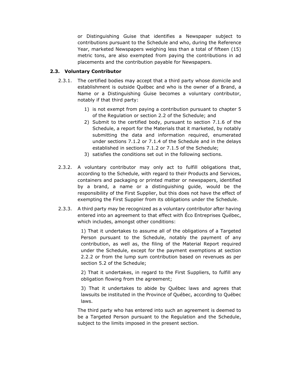or Distinguishing Guise that identifies a Newspaper subject to contributions pursuant to the Schedule and who, during the Reference Year, marketed Newspapers weighing less than a total of fifteen (15) metric tons, are also exempted from paying the contributions in ad placements and the contribution payable for Newspapers.

## <span id="page-13-0"></span>**2.3. Voluntary Contributor**

- 2.3.1. The certified bodies may accept that a third party whose domicile and establishment is outside Québec and who is the owner of a Brand, a Name or a Distinguishing Guise becomes a voluntary contributor, notably if that third party:
	- 1) is not exempt from paying a contribution pursuant to chapter 5 of the Regulation or section 2.2 of the Schedule; and
	- 2) Submit to the certified body, pursuant to section 7.1.6 of the Schedule, a report for the Materials that it marketed, by notably submitting the data and information required, enumerated under sections 7.1.2 or 7.1.4 of the Schedule and in the delays established in sections 7.1.2 or 7.1.5 of the Schedule;
	- 3) satisfies the conditions set out in the following sections.
- 2.3.2. A voluntary contributor may only act to fulfill obligations that, according to the Schedule, with regard to their Products and Services, containers and packaging or printed matter or newspapers, identified by a brand, a name or a distinguishing guide, would be the responsibility of the First Supplier, but this does not have the effect of exempting the First Supplier from its obligations under the Schedule.
- 2.3.3. A third party may be recognized as a voluntary contributor after having entered into an agreement to that effect with Éco Entreprises Québec, which includes, amongst other conditions:

1) That it undertakes to assume all of the obligations of a Targeted Person pursuant to the Schedule, notably the payment of any contribution, as well as, the filing of the Material Report required under the Schedule, except for the payment exemptions at section 2.2.2 or from the lump sum contribution based on revenues as per section 5.2 of the Schedule;

2) That it undertakes, in regard to the First Suppliers, to fulfill any obligation flowing from the agreement;

3) That it undertakes to abide by Québec laws and agrees that lawsuits be instituted in the Province of Québec, according to Québec laws.

The third party who has entered into such an agreement is deemed to be a Targeted Person pursuant to the Regulation and the Schedule, subject to the limits imposed in the present section.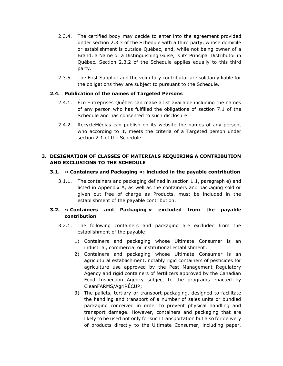- 2.3.4. The certified body may decide to enter into the agreement provided under section 2.3.3 of the Schedule with a third party, whose domicile or establishment is outside Québec, and, while not being owner of a Brand, a Name or a Distinguishing Guise, is its Principal Distributor in Québec. Section 2.3.2 of the Schedule applies equally to this third party.
- 2.3.5. The First Supplier and the voluntary contributor are solidarily liable for the obligations they are subject to pursuant to the Schedule.

#### <span id="page-14-0"></span>**2.4. Publication of the names of Targeted Persons**

- 2.4.1. Éco Entreprises Québec can make a list available including the names of any person who has fulfilled the obligations of section 7.1 of the Schedule and has consented to such disclosure.
- 2.4.2. RecycleMédias can publish on its website the names of any person, who according to it, meets the criteria of a Targeted person under section 2.1 of the Schedule.

#### <span id="page-14-1"></span>**3. DESIGNATION OF CLASSES OF MATERIALS REQUIRING A CONTRIBUTION AND EXCLUSIONS TO THE SCHEDULE**

#### <span id="page-14-2"></span>**3.1. « Containers and Packaging »: included in the payable contribution**

3.1.1. The containers and packaging defined in section 1.1, paragraph e) and listed in Appendix A, as well as the containers and packaging sold or given out free of charge as Products, must be included in the establishment of the payable contribution.

#### <span id="page-14-3"></span>**3.2. « Containers and Packaging » excluded from the payable contribution**

- 3.2.1. The following containers and packaging are excluded from the establishment of the payable:
	- 1) Containers and packaging whose Ultimate Consumer is an industrial, commercial or institutional establishment;
	- 2) Containers and packaging whose Ultimate Consumer is an agricultural establishment, notably rigid containers of pesticides for agriculture use approved by the Pest Management Regulatory Agency and rigid containers of fertilizers approved by the Canadian Food Inspection Agency subject to the programs enacted by CleanFARMS/AgriRÉCUP;
	- 3) The pallets, tertiary or transport packaging, designed to facilitate the handling and transport of a number of sales units or bundled packaging conceived in order to prevent physical handling and transport damage. However, containers and packaging that are likely to be used not only for such transportation but also for delivery of products directly to the Ultimate Consumer, including paper,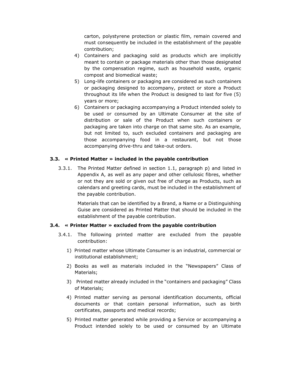carton, polystyrene protection or plastic film, remain covered and must consequently be included in the establishment of the payable contribution;

- 4) Containers and packaging sold as products which are implicitly meant to contain or package materials other than those designated by the compensation regime, such as household waste, organic compost and biomedical waste;
- 5) Long-life containers or packaging are considered as such containers or packaging designed to accompany, protect or store a Product throughout its life when the Product is designed to last for five (5) years or more;
- 6) Containers or packaging accompanying a Product intended solely to be used or consumed by an Ultimate Consumer at the site of distribution or sale of the Product when such containers or packaging are taken into charge on that same site. As an example, but not limited to, such excluded containers and packaging are those accompanying food in a restaurant, but not those accompanying drive-thru and take-out orders.

#### <span id="page-15-0"></span>**3.3. « Printed Matter » included in the payable contribution**

3.3.1. The Printed Matter defined in section 1.1, paragraph p) and listed in Appendix A, as well as any paper and other cellulosic fibres, whether or not they are sold or given out free of charge as Products, such as calendars and greeting cards, must be included in the establishment of the payable contribution.

> Materials that can be identified by a Brand, a Name or a Distinguishing Guise are considered as Printed Matter that should be included in the establishment of the payable contribution.

#### <span id="page-15-1"></span>**3.4. « Printer Matter » excluded from the payable contribution**

- 3.4.1. The following printed matter are excluded from the payable contribution:
	- 1) Printed matter whose Ultimate Consumer is an industrial, commercial or institutional establishment;
	- 2) Books as well as materials included in the "Newspapers" Class of Materials;
	- 3) Printed matter already included in the "containers and packaging" Class of Materials;
	- 4) Printed matter serving as personal identification documents, official documents or that contain personal information, such as birth certificates, passports and medical records;
	- 5) Printed matter generated while providing a Service or accompanying a Product intended solely to be used or consumed by an Ultimate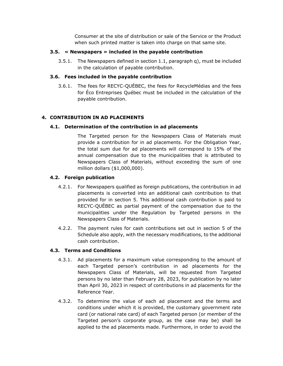Consumer at the site of distribution or sale of the Service or the Product when such printed matter is taken into charge on that same site.

#### <span id="page-16-0"></span>**3.5. « Newspapers » included in the payable contribution**

3.5.1. The Newspapers defined in section 1.1, paragraph q), must be included in the calculation of payable contribution.

#### <span id="page-16-1"></span>**3.6. Fees included in the payable contribution**

3.6.1. The fees for RECYC-QUÉBEC, the fees for RecycleMédias and the fees for Éco Entreprises Québec must be included in the calculation of the payable contribution.

## <span id="page-16-2"></span>**4. CONTRIBUTION IN AD PLACEMENTS**

#### <span id="page-16-3"></span>**4.1. Determination of the contribution in ad placements**

The Targeted person for the Newspapers Class of Materials must provide a contribution for in ad placements. For the Obligation Year, the total sum due for ad placements will correspond to 15% of the annual compensation due to the municipalities that is attributed to Newspapers Class of Materials, without exceeding the sum of one million dollars (\$1,000,000).

## <span id="page-16-4"></span>**4.2. Foreign publication**

- 4.2.1. For Newspapers qualified as foreign publications, the contribution in ad placements is converted into an additional cash contribution to that provided for in section 5. This additional cash contribution is paid to RECYC-QUÉBEC as partial payment of the compensation due to the municipalities under the Regulation by Targeted persons in the Newspapers Class of Materials.
- 4.2.2. The payment rules for cash contributions set out in section 5 of the Schedule also apply, with the necessary modifications, to the additional cash contribution.

## <span id="page-16-5"></span>**4.3. Terms and Conditions**

- 4.3.1. Ad placements for a maximum value corresponding to the amount of each Targeted person's contribution in ad placements for the Newspapers Class of Materials, will be requested from Targeted persons by no later than February 28, 2023, for publication by no later than April 30, 2023 in respect of contributions in ad placements for the Reference Year.
- 4.3.2. To determine the value of each ad placement and the terms and conditions under which it is provided, the customary government rate card (or national rate card) of each Targeted person (or member of the Targeted person's corporate group, as the case may be) shall be applied to the ad placements made. Furthermore, in order to avoid the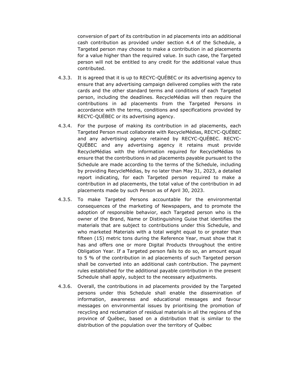conversion of part of its contribution in ad placements into an additional cash contribution as provided under section 4.4 of the Schedule, a Targeted person may choose to make a contribution in ad placements for a value higher than the required value. In such case, the Targeted person will not be entitled to any credit for the additional value thus contributed.

- 4.3.3. It is agreed that it is up to RECYC-QUÉBEC or its advertising agency to ensure that any advertising campaign delivered complies with the rate cards and the other standard terms and conditions of each Targeted person, including the deadlines. RecycleMédias will then require the contributions in ad placements from the Targeted Persons in accordance with the terms, conditions and specifications provided by RECYC-QUÉBEC or its advertising agency.
- 4.3.4. For the purpose of making its contribution in ad placements, each Targeted Person must collaborate with RecycleMédias, RECYC-QUÉBEC and any advertising agency retained by RECYC-QUÉBEC. RECYC-QUÉBEC and any advertising agency it retains must provide RecycleMédias with the information required for RecycleMédias to ensure that the contributions in ad placements payable pursuant to the Schedule are made according to the terms of the Schedule, including by providing RecycleMédias, by no later than May 31, 2023, a detailed report indicating, for each Targeted person required to make a contribution in ad placements, the total value of the contribution in ad placements made by such Person as of April 30, 2023.
- 4.3.5. To make Targeted Persons accountable for the environmental consequences of the marketing of Newspapers, and to promote the adoption of responsible behavior, each Targeted person who is the owner of the Brand, Name or Distinguishing Guise that identifies the materials that are subject to contributions under this Schedule, and who marketed Materials with a total weight equal to or greater than fifteen (15) metric tons during the Reference Year, must show that it has and offers one or more Digital Products throughout the entire Obligation Year. If a Targeted person fails to do so, an amount equal to 5 % of the contribution in ad placements of such Targeted person shall be converted into an additional cash contribution. The payment rules established for the additional payable contribution in the present Schedule shall apply, subject to the necessary adjustments.
- 4.3.6. Overall, the contributions in ad placements provided by the Targeted persons under this Schedule shall enable the dissemination of information, awareness and educational messages and favour messages on environmental issues by prioritising the promotion of recycling and reclamation of residual materials in all the regions of the province of Québec, based on a distribution that is similar to the distribution of the population over the territory of Québec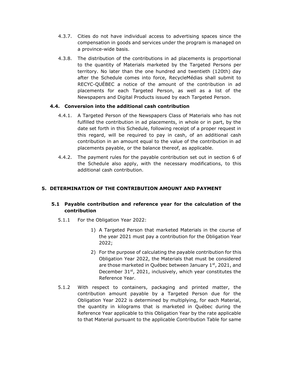- 4.3.7. Cities do not have individual access to advertising spaces since the compensation in goods and services under the program is managed on a province-wide basis.
- 4.3.8. The distribution of the contributions in ad placements is proportional to the quantity of Materials marketed by the Targeted Persons per territory. No later than the one hundred and twentieth (120th) day after the Schedule comes into force, RecycleMédias shall submit to RECYC-QUÉBEC a notice of the amount of the contribution in ad placements for each Targeted Person, as well as a list of the Newspapers and Digital Products issued by each Targeted Person.

## <span id="page-18-0"></span>**4.4. Conversion into the additional cash contribution**

- 4.4.1. A Targeted Person of the Newspapers Class of Materials who has not fulfilled the contribution in ad placements, in whole or in part, by the date set forth in this Schedule, following receipt of a proper request in this regard, will be required to pay in cash, of an additional cash contribution in an amount equal to the value of the contribution in ad placements payable, or the balance thereof, as applicable.
- 4.4.2. The payment rules for the payable contribution set out in section 6 of the Schedule also apply, with the necessary modifications, to this additional cash contribution.

## <span id="page-18-1"></span>**5. DETERMINATION OF THE CONTRIBUTION AMOUNT AND PAYMENT**

## <span id="page-18-2"></span>**5.1 Payable contribution and reference year for the calculation of the contribution**

- 5.1.1 For the Obligation Year 2022:
	- 1) A Targeted Person that marketed Materials in the course of the year 2021 must pay a contribution for the Obligation Year 2022;
	- 2) For the purpose of calculating the payable contribution for this Obligation Year 2022, the Materials that must be considered are those marketed in Québec between January  $1<sup>st</sup>$ , 2021, and December  $31^{st}$ , 2021, inclusively, which year constitutes the Reference Year.
- 5.1.2 With respect to containers, packaging and printed matter, the contribution amount payable by a Targeted Person due for the Obligation Year 2022 is determined by multiplying, for each Material, the quantity in kilograms that is marketed in Québec during the Reference Year applicable to this Obligation Year by the rate applicable to that Material pursuant to the applicable Contribution Table for same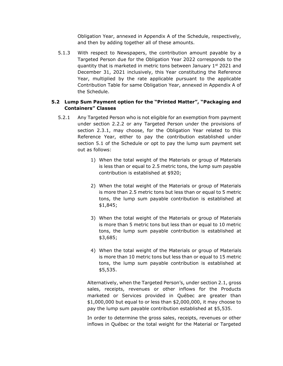Obligation Year, annexed in Appendix A of the Schedule, respectively, and then by adding together all of these amounts.

5.1.3 With respect to Newspapers, the contribution amount payable by a Targeted Person due for the Obligation Year 2022 corresponds to the quantity that is marketed in metric tons between January 1st 2021 and December 31, 2021 inclusively, this Year constituting the Reference Year, multiplied by the rate applicable pursuant to the applicable Contribution Table for same Obligation Year, annexed in Appendix A of the Schedule.

#### <span id="page-19-0"></span>**5.2 Lump Sum Payment option for the "Printed Matter", "Packaging and Containers" Classes**

- 5.2.1 Any Targeted Person who is not eligible for an exemption from payment under section 2.2.2 or any Targeted Person under the provisions of section 2.3.1, may choose, for the Obligation Year related to this Reference Year, either to pay the contribution established under section 5.1 of the Schedule or opt to pay the lump sum payment set out as follows:
	- 1) When the total weight of the Materials or group of Materials is less than or equal to 2.5 metric tons, the lump sum payable contribution is established at \$920;
	- 2) When the total weight of the Materials or group of Materials is more than 2.5 metric tons but less than or equal to 5 metric tons, the lump sum payable contribution is established at \$1,845;
	- 3) When the total weight of the Materials or group of Materials is more than 5 metric tons but less than or equal to 10 metric tons, the lump sum payable contribution is established at \$3,685;
	- 4) When the total weight of the Materials or group of Materials is more than 10 metric tons but less than or equal to 15 metric tons, the lump sum payable contribution is established at \$5,535.

Alternatively, when the Targeted Person's, under section 2.1, gross sales, receipts, revenues or other inflows for the Products marketed or Services provided in Québec are greater than \$1,000,000 but equal to or less than \$2,000,000, it may choose to pay the lump sum payable contribution established at \$5,535.

In order to determine the gross sales, receipts, revenues or other inflows in Québec or the total weight for the Material or Targeted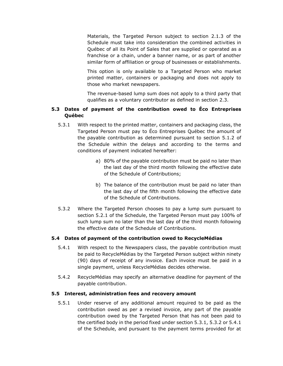Materials, the Targeted Person subject to section 2.1.3 of the Schedule must take into consideration the combined activities in Québec of all its Point of Sales that are supplied or operated as a franchise or a chain, under a banner name, or as part of another similar form of affiliation or group of businesses or establishments.

This option is only available to a Targeted Person who market printed matter, containers or packaging and does not apply to those who market newspapers.

The revenue-based lump sum does not apply to a third party that qualifies as a voluntary contributor as defined in section 2.3.

#### <span id="page-20-0"></span>**5.3 Dates of payment of the contribution owed to Éco Entreprises Québec**

- 5.3.1 With respect to the printed matter, containers and packaging class, the Targeted Person must pay to Éco Entreprises Québec the amount of the payable contribution as determined pursuant to section 5.1.2 of the Schedule within the delays and according to the terms and conditions of payment indicated hereafter:
	- a) 80% of the payable contribution must be paid no later than the last day of the third month following the effective date of the Schedule of Contributions;
	- b) The balance of the contribution must be paid no later than the last day of the fifth month following the effective date of the Schedule of Contributions.
- 5.3.2 Where the Targeted Person chooses to pay a lump sum pursuant to section 5.2.1 of the Schedule, the Targeted Person must pay 100% of such lump sum no later than the last day of the third month following the effective date of the Schedule of Contributions.

#### <span id="page-20-1"></span>**5.4 Dates of payment of the contribution owed to RecycleMédias**

- 5.4.1 With respect to the Newspapers class, the payable contribution must be paid to RecycleMédias by the Targeted Person subject within ninety (90) days of receipt of any invoice. Each invoice must be paid in a single payment, unless RecycleMédias decides otherwise.
- 5.4.2 RecycleMédias may specify an alternative deadline for payment of the payable contribution.

#### <span id="page-20-2"></span>**5.5 Interest, administration fees and recovery amount**

5.5.1 Under reserve of any additional amount required to be paid as the contribution owed as per a revised invoice, any part of the payable contribution owed by the Targeted Person that has not been paid to the certified body in the period fixed under section 5.3.1, 5.3.2 or 5.4.1 of the Schedule, and pursuant to the payment terms provided for at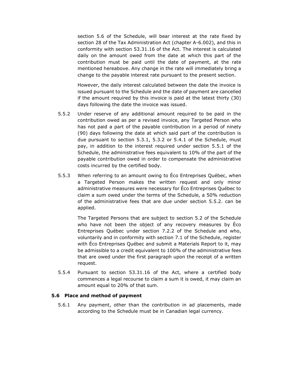section 5.6 of the Schedule, will bear interest at the rate fixed by section 28 of the Tax Administration Act (chapter A-6.002), and this in conformity with section 53.31.16 of the Act. The interest is calculated daily on the amount owed from the date at which this part of the contribution must be paid until the date of payment, at the rate mentioned hereabove. Any change in the rate will immediately bring a change to the payable interest rate pursuant to the present section.

However, the daily interest calculated between the date the invoice is issued pursuant to the Schedule and the date of payment are cancelled if the amount required by this invoice is paid at the latest thirty (30) days following the date the invoice was issued.

- 5.5.2 Under reserve of any additional amount required to be paid in the contribution owed as per a revised invoice, any Targeted Person who has not paid a part of the payable contribution in a period of ninety (90) days following the date at which said part of the contribution is due pursuant to section 5.3.1, 5.3.2 or 5.4.1 of the Schedule, must pay, in addition to the interest required under section 5.5.1 of the Schedule, the administrative fees equivalent to 10% of the part of the payable contribution owed in order to compensate the administrative costs incurred by the certified body.
- 5.5.3 When referring to an amount owing to Éco Entreprises Québec, when a Targeted Person makes the written request and only minor administrative measures were necessary for Éco Entreprises Québec to claim a sum owed under the terms of the Schedule, a 50% reduction of the administrative fees that are due under section 5.5.2. can be applied.

The Targeted Persons that are subject to section 5.2 of the Schedule who have not been the object of any recovery measures by Éco Entreprises Québec under section 7.2.2 of the Schedule and who, voluntarily and in conformity with section 7.1 of the Schedule, register with Éco Entreprises Québec and submit a Materials Report to it, may be admissible to a credit equivalent to 100% of the administrative fees that are owed under the first paragraph upon the receipt of a written request.

5.5.4 Pursuant to section 53.31.16 of the Act, where a certified body commences a legal recourse to claim a sum it is owed, it may claim an amount equal to 20% of that sum.

#### <span id="page-21-0"></span>**5.6 Place and method of payment**

5.6.1 Any payment, other than the contribution in ad placements, made according to the Schedule must be in Canadian legal currency.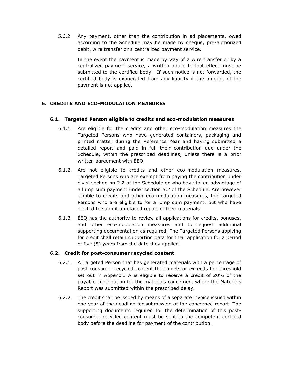5.6.2 Any payment, other than the contribution in ad placements, owed according to the Schedule may be made by cheque, pre-authorized debit, wire transfer or a centralized payment service.

> In the event the payment is made by way of a wire transfer or by a centralized payment service, a written notice to that effect must be submitted to the certified body. If such notice is not forwarded, the certified body is exonerated from any liability if the amount of the payment is not applied.

## <span id="page-22-0"></span>**6. CREDITS AND ECO-MODULATION MEASURES**

#### <span id="page-22-1"></span>**6.1. Targeted Person eligible to credits and eco-modulation measures**

- 6.1.1. Are eligible for the credits and other eco-modulation measures the Targeted Persons who have generated containers, packaging and printed matter during the Reference Year and having submitted a detailed report and paid in full their contribution due under the Schedule, within the prescribed deadlines, unless there is a prior written agreement with ÉEQ.
- 6.1.2. Are not eligible to credits and other eco-modulation measures, Targeted Persons who are exempt from paying the contribution under divisi section on 2.2 of the Schedule or who have taken advantage of a lump sum payment under section 5.2 of the Schedule. Are however eligible to credits and other eco-modulation measures, the Targeted Persons who are eligible to for a lump sum payment, but who have elected to submit a detailed report of their materials.
- 6.1.3. ÉEQ has the authority to review all applications for credits, bonuses, and other eco-modulation measures and to request additional supporting documentation as required. The Targeted Persons applying for credit shall retain supporting data for their application for a period of five (5) years from the date they applied.

#### <span id="page-22-2"></span>**6.2. Credit for post-consumer recycled content**

- 6.2.1. A Targeted Person that has generated materials with a percentage of post-consumer recycled content that meets or exceeds the threshold set out in Appendix A is eligible to receive a credit of 20% of the payable contribution for the materials concerned, where the Materials Report was submitted within the prescribed delay.
- 6.2.2. The credit shall be issued by means of a separate invoice issued within one year of the deadline for submission of the concerned report. The supporting documents required for the determination of this postconsumer recycled content must be sent to the competent certified body before the deadline for payment of the contribution.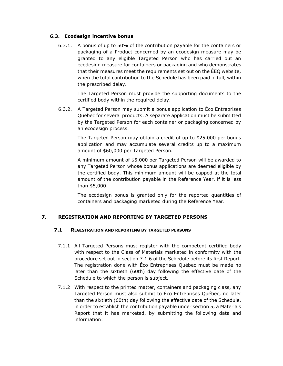#### <span id="page-23-0"></span>**6.3. Ecodesign incentive bonus**

6.3.1. A bonus of up to 50% of the contribution payable for the containers or packaging of a Product concerned by an ecodesign measure may be granted to any eligible Targeted Person who has carried out an ecodesign measure for containers or packaging and who demonstrates that their measures meet the requirements set out on the ÉEQ website, when the total contribution to the Schedule has been paid in full, within the prescribed delay.

> The Targeted Person must provide the supporting documents to the certified body within the required delay.

6.3.2. A Targeted Person may submit a bonus application to Éco Entreprises Québec for several products. A separate application must be submitted by the Targeted Person for each container or packaging concerned by an ecodesign process.

> The Targeted Person may obtain a credit of up to \$25,000 per bonus application and may accumulate several credits up to a maximum amount of \$60,000 per Targeted Person.

> A minimum amount of \$5,000 per Targeted Person will be awarded to any Targeted Person whose bonus applications are deemed eligible by the certified body. This minimum amount will be capped at the total amount of the contribution payable in the Reference Year, if it is less than \$5,000.

> The ecodesign bonus is granted only for the reported quantities of containers and packaging marketed during the Reference Year.

## <span id="page-23-2"></span><span id="page-23-1"></span>**7. REGISTRATION AND REPORTING BY TARGETED PERSONS**

#### **7.1 REGISTRATION AND REPORTING BY TARGETED PERSONS**

- 7.1.1 All Targeted Persons must register with the competent certified body with respect to the Class of Materials marketed in conformity with the procedure set out in section 7.1.6 of the Schedule before its first Report. The registration done with Éco Entreprises Québec must be made no later than the sixtieth (60th) day following the effective date of the Schedule to which the person is subject.
- 7.1.2 With respect to the printed matter, containers and packaging class, any Targeted Person must also submit to Éco Entreprises Québec, no later than the sixtieth (60th) day following the effective date of the Schedule, in order to establish the contribution payable under section 5, a Materials Report that it has marketed, by submitting the following data and information: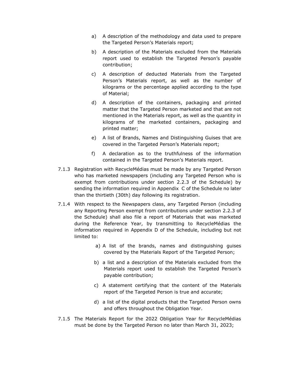- a) A description of the methodology and data used to prepare the Targeted Person's Materials report;
- b) A description of the Materials excluded from the Materials report used to establish the Targeted Person's payable contribution;
- c) A description of deducted Materials from the Targeted Person's Materials report, as well as the number of kilograms or the percentage applied according to the type of Material;
- d) A description of the containers, packaging and printed matter that the Targeted Person marketed and that are not mentioned in the Materials report, as well as the quantity in kilograms of the marketed containers, packaging and printed matter;
- e) A list of Brands, Names and Distinguishing Guises that are covered in the Targeted Person's Materials report;
- f) A declaration as to the truthfulness of the information contained in the Targeted Person's Materials report.
- 7.1.3 Registration with RecycleMédias must be made by any Targeted Person who has marketed newspapers (including any Targeted Person who is exempt from contributions under section 2.2.3 of the Schedule) by sending the information required in Appendix C of the Schedule no later than the thirtieth (30th) day following its registration.
- 7.1.4 With respect to the Newspapers class, any Targeted Person (including any Reporting Person exempt from contributions under section 2.2.3 of the Schedule) shall also file a report of Materials that was marketed during the Reference Year, by transmitting to RecycleMédias the information required in Appendix D of the Schedule, including but not limited to:
	- a) A list of the brands, names and distinguishing guises covered by the Materials Report of the Targeted Person;
	- b) a list and a description of the Materials excluded from the Materials report used to establish the Targeted Person's payable contribution;
	- c) A statement certifying that the content of the Materials report of the Targeted Person is true and accurate;
	- d) a list of the digital products that the Targeted Person owns and offers throughout the Obligation Year.
- 7.1.5 The Materials Report for the 2022 Obligation Year for RecycleMédias must be done by the Targeted Person no later than March 31, 2023;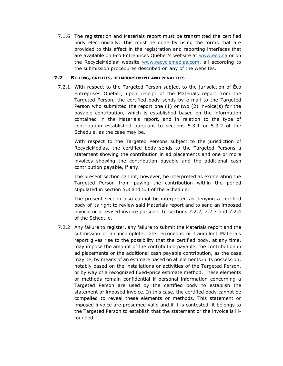7.1.6 The registration and Materials report must be transmitted the certified body electronically. This must be done by using the forms that are provided to this effect in the registration and reporting interfaces that are available on Éco Entreprises Québec's website at [www.eeq.ca](http://www.eeq.ca/) or on the RecycleMédias' website [www.recyclemedias.com,](http://www.recyclemedias.com/) all according to the submission procedures described on any of the websites.

#### <span id="page-25-0"></span>**7.2 BILLING, CREDITS, REIMBURSEMENT AND PENALTIES**

7.2.1 With respect to the Targeted Person subject to the jurisdiction of Éco Entreprises Québec, upon receipt of the Materials report from the Targeted Person, the certified body sends by e-mail to the Targeted Person who submitted the report one (1) or two (2) invoice(s) for the payable contribution, which is established based on the information contained in the Materials report, and in relation to the type of contribution established pursuant to sections 5.3.1 or 5.3.2 of the Schedule, as the case may be.

With respect to the Targeted Persons subject to the jurisdiction of RecycleMédias, the certified body sends to the Targeted Persons a statement showing the contribution in ad placements and one or more invoices showing the contribution payable and the additional cash contribution payable, if any.

The present section cannot, however, be interpreted as exonerating the Targeted Person from paying the contribution within the period stipulated in section 5.3 and 5.4 of the Schedule.

The present section also cannot be interpreted as denying a certified body of its right to review said Materials report and to send an imposed invoice or a revised invoice pursuant to sections 7.2.2, 7.2.3 and 7.2.4 of the Schedule.

7.2.2 Any failure to register, any failure to submit the Materials report and the submission of an incomplete, late, erroneous or fraudulent Materials report gives rise to the possibility that the certified body, at any time, may impose the amount of the contribution payable, the contribution in ad placements or the additional cash payable contribution, as the case may be, by means of an estimate based on all elements in its possession, notably based on the installations or activities of the Targeted Person, or by way of a recognized fixed-price estimate method. These elements or methods remain confidential if personal information concerning a Targeted Person are used by the certified body to establish the statement or imposed invoice. In this case, the certified body cannot be compelled to reveal these elements or methods. This statement or imposed invoice are presumed valid and if it is contested, it belongs to the Targeted Person to establish that the statement or the invoice is illfounded.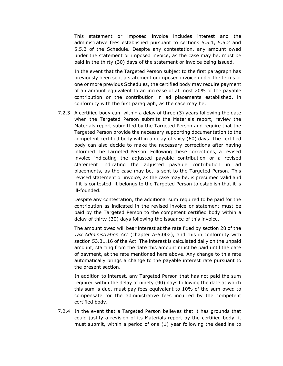This statement or imposed invoice includes interest and the administrative fees established pursuant to sections 5.5.1, 5.5.2 and 5.5.3 of the Schedule. Despite any contestation, any amount owed under the statement or imposed invoice, as the case may be, must be paid in the thirty (30) days of the statement or invoice being issued.

In the event that the Targeted Person subject to the first paragraph has previously been sent a statement or imposed invoice under the terms of one or more previous Schedules, the certified body may require payment of an amount equivalent to an increase of at most 20% of the payable contribution or the contribution in ad placements established, in conformity with the first paragraph, as the case may be.

7.2.3 A certified body can, within a delay of three (3) years following the date when the Targeted Person submits the Materials report, review the Materials report submitted by the Targeted Person and require that the Targeted Person provide the necessary supporting documentation to the competent certified body within a delay of sixty (60) days. The certified body can also decide to make the necessary corrections after having informed the Targeted Person. Following these corrections, a revised invoice indicating the adjusted payable contribution or a revised statement indicating the adjusted payable contribution in ad placements, as the case may be, is sent to the Targeted Person. This revised statement or invoice, as the case may be, is presumed valid and if it is contested, it belongs to the Targeted Person to establish that it is ill-founded.

Despite any contestation, the additional sum required to be paid for the contribution as indicated in the revised invoice or statement must be paid by the Targeted Person to the competent certified body within a delay of thirty (30) days following the issuance of this invoice.

The amount owed will bear interest at the rate fixed by section 28 of the *Tax Administration Act* (chapter A-6.002), and this in conformity with section 53.31.16 of the Act. The interest is calculated daily on the unpaid amount, starting from the date this amount must be paid until the date of payment, at the rate mentioned here above. Any change to this rate automatically brings a change to the payable interest rate pursuant to the present section.

In addition to interest, any Targeted Person that has not paid the sum required within the delay of ninety (90) days following the date at which this sum is due, must pay fees equivalent to 10% of the sum owed to compensate for the administrative fees incurred by the competent certified body.

7.2.4 In the event that a Targeted Person believes that it has grounds that could justify a revision of its Materials report by the certified body, it must submit, within a period of one (1) year following the deadline to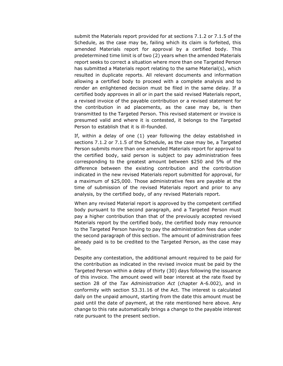submit the Materials report provided for at sections 7.1.2 or 7.1.5 of the Schedule, as the case may be, failing which its claim is forfeited, this amended Materials report for approval by a certified body. This predetermined time limit is of two (2) years when the amended Materials report seeks to correct a situation where more than one Targeted Person has submitted a Materials report relating to the same Material(s), which resulted in duplicate reports. All relevant documents and information allowing a certified body to proceed with a complete analysis and to render an enlightened decision must be filed in the same delay. If a certified body approves in all or in part the said revised Materials report, a revised invoice of the payable contribution or a revised statement for the contribution in ad placements, as the case may be, is then transmitted to the Targeted Person. This revised statement or invoice is presumed valid and where it is contested, it belongs to the Targeted Person to establish that it is ill-founded.

If, within a delay of one (1) year following the delay established in sections 7.1.2 or 7.1.5 of the Schedule, as the case may be, a Targeted Person submits more than one amended Materials report for approval to the certified body, said person is subject to pay administration fees corresponding to the greatest amount between \$250 and 5% of the difference between the existing contribution and the contribution indicated in the new revised Materials report submitted for approval, for a maximum of \$25,000. Those administrative fees are payable at the time of submission of the revised Materials report and prior to any analysis, by the certified body, of any revised Materials report.

When any revised Material report is approved by the competent certified body pursuant to the second paragraph, and a Targeted Person must pay a higher contribution than that of the previously accepted revised Materials report by the certified body, the certified body may renounce to the Targeted Person having to pay the administration fees due under the second paragraph of this section. The amount of administration fees already paid is to be credited to the Targeted Person, as the case may be.

Despite any contestation, the additional amount required to be paid for the contribution as indicated in the revised invoice must be paid by the Targeted Person within a delay of thirty (30) days following the issuance of this invoice. The amount owed will bear interest at the rate fixed by section 28 of the *Tax Administration Act* (chapter A-6.002), and in conformity with section 53.31.16 of the Act. The interest is calculated daily on the unpaid amount, starting from the date this amount must be paid until the date of payment, at the rate mentioned here above. Any change to this rate automatically brings a change to the payable interest rate pursuant to the present section.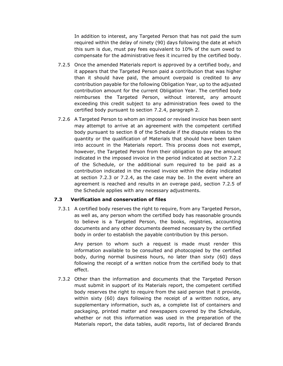In addition to interest, any Targeted Person that has not paid the sum required within the delay of ninety (90) days following the date at which this sum is due, must pay fees equivalent to 10% of the sum owed to compensate for the administrative fees it incurred by the certified body.

- 7.2.5 Once the amended Materials report is approved by a certified body, and it appears that the Targeted Person paid a contribution that was higher than it should have paid, the amount overpaid is credited to any contribution payable for the following Obligation Year, up to the adjusted contribution amount for the current Obligation Year. The certified body reimburses the Targeted Person, without interest, any amount exceeding this credit subject to any administration fees owed to the certified body pursuant to section 7.2.4, paragraph 2.
- 7.2.6 A Targeted Person to whom an imposed or revised invoice has been sent may attempt to arrive at an agreement with the competent certified body pursuant to section 8 of the Schedule if the dispute relates to the quantity or the qualification of Materials that should have been taken into account in the Materials report. This process does not exempt, however, the Targeted Person from their obligation to pay the amount indicated in the imposed invoice in the period indicated at section 7.2.2 of the Schedule, or the additional sum required to be paid as a contribution indicated in the revised invoice within the delay indicated at section 7.2.3 or 7.2.4, as the case may be. In the event where an agreement is reached and results in an overage paid, section 7.2.5 of the Schedule applies with any necessary adjustments.

#### <span id="page-28-0"></span>**7.3 Verification and conservation of files**

7.3.1 A certified body reserves the right to require, from any Targeted Person, as well as, any person whom the certified body has reasonable grounds to believe is a Targeted Person, the books, registries, accounting documents and any other documents deemed necessary by the certified body in order to establish the payable contribution by this person.

Any person to whom such a request is made must render this information available to be consulted and photocopied by the certified body, during normal business hours, no later than sixty (60) days following the receipt of a written notice from the certified body to that effect.

7.3.2 Other than the information and documents that the Targeted Person must submit in support of its Materials report, the competent certified body reserves the right to require from the said person that it provide, within sixty (60) days following the receipt of a written notice, any supplementary information, such as, a complete list of containers and packaging, printed matter and newspapers covered by the Schedule, whether or not this information was used in the preparation of the Materials report, the data tables, audit reports, list of declared Brands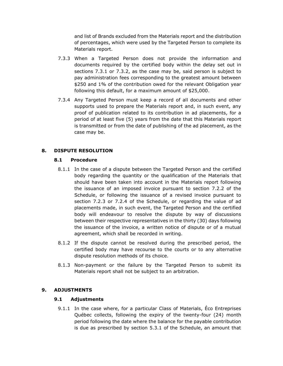and list of Brands excluded from the Materials report and the distribution of percentages, which were used by the Targeted Person to complete its Materials report.

- 7.3.3 When a Targeted Person does not provide the information and documents required by the certified body within the delay set out in sections 7.3.1 or 7.3.2, as the case may be, said person is subject to pay administration fees corresponding to the greatest amount between \$250 and 1% of the contribution owed for the relevant Obligation year following this default, for a maximum amount of \$25,000.
- 7.3.4 Any Targeted Person must keep a record of all documents and other supports used to prepare the Materials report and, in such event, any proof of publication related to its contribution in ad placements, for a period of at least five (5) years from the date that this Materials report is transmitted or from the date of publishing of the ad placement, as the case may be.

## <span id="page-29-1"></span><span id="page-29-0"></span>**8. DISPUTE RESOLUTION**

#### **8.1 Procedure**

- 8.1.1 In the case of a dispute between the Targeted Person and the certified body regarding the quantity or the qualification of the Materials that should have been taken into account in the Materials report following the issuance of an imposed invoice pursuant to section 7.2.2 of the Schedule, or following the issuance of a revised invoice pursuant to section 7.2.3 or 7.2.4 of the Schedule, or regarding the value of ad placements made, in such event, the Targeted Person and the certified body will endeavour to resolve the dispute by way of discussions between their respective representatives in the thirty (30) days following the issuance of the invoice, a written notice of dispute or of a mutual agreement, which shall be recorded in writing.
- 8.1.2 If the dispute cannot be resolved during the prescribed period, the certified body may have recourse to the courts or to any alternative dispute resolution methods of its choice.
- 8.1.3 Non-payment or the failure by the Targeted Person to submit its Materials report shall not be subject to an arbitration.

#### <span id="page-29-3"></span><span id="page-29-2"></span>**9. ADJUSTMENTS**

#### **9.1 Adjustments**

9.1.1 In the case where, for a particular Class of Materials, Éco Entreprises Québec collects, following the expiry of the twenty-four (24) month period following the date where the balance for the payable contribution is due as prescribed by section 5.3.1 of the Schedule, an amount that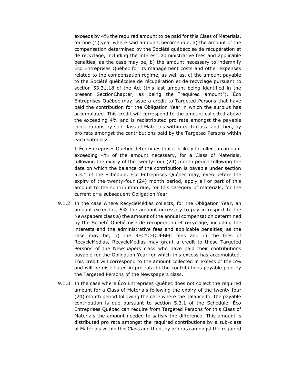exceeds by 4% the required amount to be paid for this Class of Materials, for one (1) year where said amounts become due, a) the amount of the compensation determined by the Société québécoise de récupération et de recyclage, including the interest, administrative fees and applicable penalties, as the case may be, b) the amount necessary to indemnify Éco Entreprises Québec for its management costs and other expenses related to the compensation regime, as well as, c) the amount payable to the Société québécoise de récupération et de recyclage pursuant to section 53.31.18 of the Act (this last amount being identified in the present SectionChapter, as being the "required amount"), Éco Entreprises Québec may issue a credit to Targeted Persons that have paid the contribution for the Obligation Year in which the surplus has accumulated. This credit will correspond to the amount collected above the exceeding 4% and is redistributed pro rata amongst the payable contributions by sub-class of Materials within each class, and then, by pro rata amongst the contributions paid by the Targeted Persons within each sub-class.

If Éco Entreprises Québec determines that it is likely to collect an amount exceeding 4% of the amount necessary, for a Class of Materials, following the expiry of the twenty-four (24) month period following the date on which the balance of the contribution is payable under section 5.3.1 of the Schedule, Éco Entreprises Québec may, even before the expiry of the twenty-four (24) month period, apply all or part of this amount to the contribution due, for this category of materials, for the current or a subsequent Obligation Year.

- 9.1.2 In the case where RecycleMédias collects, for the Obligation Year, an amount exceeding 5% the amount necessary to pay in respect to the Newspapers class a) the amount of the annual compensation determined by the Société Québécoise de recuperation et recyclage, including the interests and the administrative fees and applicable penalties, as the case may be, b) the RECYC-QUÉBEC fees and c) the fees of RecycleMédias, RecycleMédias may grant a credit to those Targeted Persons of the Newspapers class who have paid their contributions payable for the Obligation Year for which this excess has accumulated. This credit will correspond to the amount collected in excess of the 5% and will be distributed in pro rata to the contributions payable paid by the Targeted Persons of the Newspapers class.
- 9.1.3 In the case where Éco Entreprises Québec does not collect the required amount for a Class of Materials following the expiry of the twenty-four (24) month period following the date where the balance for the payable contribution is due pursuant to section 5.3.1 of the Schedule, Éco Entreprises Québec can require from Targeted Persons for this Class of Materials the amount needed to satisfy the difference. This amount is distributed pro rata amongst the required contributions by a sub-class of Materials within this Class and then, by pro rata amongst the required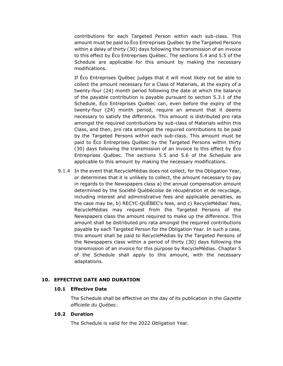contributions for each Targeted Person within each sub-class. This amount must be paid to Éco Entreprises Québec by the Targeted Persons within a delay of thirty (30) days following the transmission of an invoice to this effect by Éco Entreprises Québec. The sections 5.4 and 5.5 of the Schedule are applicable for this amount by making the necessary modifications.

If Éco Entreprises Québec judges that it will most likely not be able to collect the amount necessary for a Class of Materials, at the expiry of a twenty-four (24) month period following the date at which the balance of the payable contribution is payable pursuant to section 5.3.1 of the Schedule, Éco Entreprises Québec can, even before the expiry of the twenty-four (24) month period, require an amount that it deems necessary to satisfy the difference. This amount is distributed pro rata amongst the required contributions by sub-class of Materials within this Class, and then, pro rata amongst the required contributions to be paid by the Targeted Persons within each sub-class. This amount must be paid to Éco Entreprises Québec by the Targeted Persons within thirty (30) days following the transmission of an invoice to this effect by Éco Entreprises Québec. The sections 5.5 and 5.6 of the Schedule are applicable to this amount by making the necessary modifications.

9.1.4 In the event that RecycleMédias does not collect, for the Obligation Year, or determines that it is unlikely to collect, the amount necessary to pay in regards to the Newspapers class a) the annual compensation amount determined by the Société Québécoise de récupération et de recyclage, including interest and administrative fees and applicable penalties, as the case may be, b) RECYC-QUÉBEC's fees, and c) RecycleMédias' fees, RecycleMédias may request from the Targeted Persons of the Newspapers class the amount required to make up the difference. This amount shall be distributed pro rata amongst the required contributions payable by each Targeted Person for the Obligation Year. In such a case, this amount shall be paid to RecycleMédias by the Targeted Persons of the Newspapers class within a period of thirty (30) days following the transmission of an invoice for this purpose by RecycleMédias. Chapter 5 of the Schedule shall apply to this amount, with the necessary adaptations.

#### <span id="page-31-1"></span><span id="page-31-0"></span>**10. EFFECTIVE DATE AND DURATION**

#### **10.1 Effective Date**

The Schedule shall be effective on the day of its publication in the *Gazette officielle du Québec*.

#### <span id="page-31-2"></span>**10.2 Duration**

The Schedule is valid for the 2022 Obligation Year.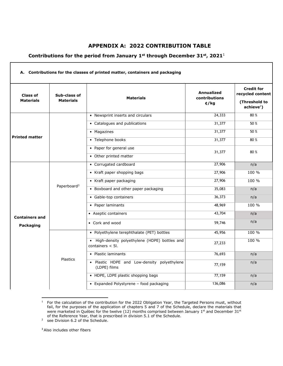## <span id="page-32-0"></span>**APPENDIX A: 2022 CONTRIBUTION TABLE**

## **Contributions for the period from January 1st through December 31st, 2021**<sup>1</sup>

| Class of<br><b>Materials</b> | Sub-class of<br><b>Materials</b> | <b>Materials</b>                                                      | Annualized<br>contributions<br>$\phi / kg$ | <b>Credit for</b><br>recycled content<br>(Threshold to |
|------------------------------|----------------------------------|-----------------------------------------------------------------------|--------------------------------------------|--------------------------------------------------------|
|                              |                                  |                                                                       |                                            | $achieve2$ )                                           |
|                              |                                  | • Newsprint inserts and circulars                                     | 24,333                                     | 80%                                                    |
|                              |                                  | • Catalogues and publications                                         | 31,377                                     | 50 %                                                   |
|                              |                                  | • Magazines                                                           | 31,377                                     | 50 %                                                   |
| <b>Printed matter</b>        |                                  | • Telephone books                                                     | 31,377                                     | 80%                                                    |
|                              |                                  | • Paper for general use                                               | 31,377                                     | 80%                                                    |
|                              |                                  | • Other printed matter                                                |                                            |                                                        |
|                              | Paperboard <sup>3</sup>          | • Corrugated cardboard                                                | 27,906                                     | n/a                                                    |
|                              |                                  | • Kraft paper shopping bags                                           | 27,906                                     | 100 %                                                  |
|                              |                                  | • Kraft paper packaging                                               | 27,906                                     | 100 %                                                  |
|                              |                                  | • Boxboard and other paper packaging                                  | 35,083                                     | n/a                                                    |
|                              |                                  | • Gable-top containers                                                | 36,373                                     | n/a                                                    |
|                              |                                  | • Paper laminants                                                     | 48,969                                     | 100 %                                                  |
| <b>Containers and</b>        |                                  | • Aseptic containers                                                  | 43,704                                     | n/a                                                    |
| Packaging                    |                                  | • Cork and wood                                                       | 59,746                                     | n/a                                                    |
|                              |                                  | • Polyethylene terephthalate (PET) bottles                            | 45,956                                     | 100 %                                                  |
|                              |                                  |                                                                       |                                            |                                                        |
|                              |                                  | • High-density polyethylene (HDPE) bottles and<br>containers $< 5$ l. | 27,233                                     | 100 %                                                  |
|                              |                                  | • Plastic laminants                                                   | 76,693                                     | n/a                                                    |
|                              | <b>Plastics</b>                  | · Plastic HDPE and Low-density polyethylene<br>(LDPE) films           | 77,159                                     | n/a                                                    |
|                              |                                  | • HDPE, LDPE plastic shopping bags                                    | 77,159                                     | n/a                                                    |

 $1$  For the calculation of the contribution for the 2022 Obligation Year, the Targeted Persons must, without fail, for the purposes of the application of chapters 5 and 7 of the Schedule, declare the materials that were marketed in Québec for the twelve (12) months comprised between January 1<sup>st</sup> and December 31<sup>st</sup> of the Reference Year, that is prescribed in division 5.1 of the Schedule.

<sup>3</sup> Also includes other fibers

Г

<sup>&</sup>lt;sup>2</sup> see Division 6.2 of the Schedule.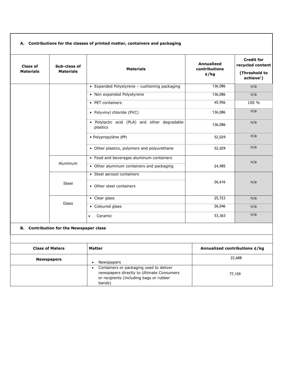#### **A. Contributions for the classes of printed matter, containers and packaging**

| <b>Class of</b><br><b>Materials</b> | Sub-class of<br><b>Materials</b>               | <b>Materials</b>                                                                                                                                       | <b>Annualized</b><br>contributions<br>$\phi / kg$ | <b>Credit for</b><br>recycled content<br>(Threshold to<br>$achieve2$ ) |
|-------------------------------------|------------------------------------------------|--------------------------------------------------------------------------------------------------------------------------------------------------------|---------------------------------------------------|------------------------------------------------------------------------|
|                                     |                                                | • Expanded Polystyrene - cushioning packaging                                                                                                          | 136,086                                           | n/a                                                                    |
|                                     |                                                | • Non expanded Polystyrene                                                                                                                             | 136,086                                           | n/a                                                                    |
|                                     |                                                | • PET containers                                                                                                                                       | 45,956                                            | 100 %                                                                  |
|                                     |                                                | • Polyvinyl chloride (PVC)                                                                                                                             | 136,086                                           | n/a                                                                    |
|                                     |                                                | · Polylactic acid (PLA) and other degradable<br>plastics                                                                                               | 136,086                                           | n/a                                                                    |
|                                     |                                                | · Polypropylène (PP)                                                                                                                                   | 52,029                                            | n/a                                                                    |
|                                     |                                                | • Other plastics, polymers and polyurethane                                                                                                            | 52,029                                            | n/a                                                                    |
|                                     |                                                | • Food and beverages aluminum containers                                                                                                               | 24,985                                            | n/a                                                                    |
|                                     | Aluminum                                       | • Other aluminum containers and packaging                                                                                                              |                                                   |                                                                        |
|                                     |                                                | • Steel aerosol containers                                                                                                                             |                                                   |                                                                        |
|                                     | Steel                                          | • Other steel containers                                                                                                                               | 26,616                                            | n/a                                                                    |
|                                     |                                                | • Clear glass                                                                                                                                          | 25,723                                            | n/a                                                                    |
|                                     | Glass                                          | • Coloured glass                                                                                                                                       | 26,046                                            | n/a                                                                    |
|                                     |                                                | Ceramic<br>$\bullet$                                                                                                                                   | 53,363                                            | n/a                                                                    |
|                                     | <b>B.</b> Contribution for the Newspaper class |                                                                                                                                                        |                                                   |                                                                        |
| <b>Class of Maters</b>              |                                                | <b>Matter</b>                                                                                                                                          | Annualized contributions ¢/kg                     |                                                                        |
| <b>Newspapers</b>                   |                                                | Newspapers<br>$\bullet$                                                                                                                                | 22,688                                            |                                                                        |
|                                     |                                                | Containers or packaging used to deliver<br>$\bullet$<br>newspapers directly to Ultimate Consumers<br>or recipients (including bags or rubber<br>bands) |                                                   | 77,159                                                                 |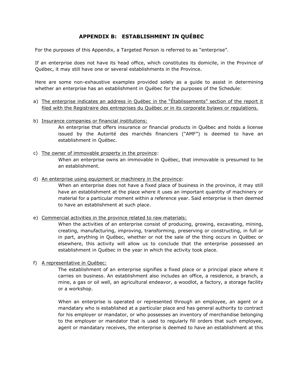## **APPENDIX B: ESTABLISHMENT IN QUÉBEC**

<span id="page-34-0"></span>For the purposes of this Appendix, a Targeted Person is referred to as "enterprise".

If an enterprise does not have its head office, which constitutes its domicile, in the Province of Québec, it may still have one or several establishments in the Province.

Here are some non-exhaustive examples provided solely as a guide to assist in determining whether an enterprise has an establishment in Québec for the purposes of the Schedule:

- a) The enterprise indicates an address in Québec in the "Établissements" section of the report it filed with the Registraire des entreprises du Québec or in its corporate bylaws or regulations.
- b) Insurance companies or financial institutions:

An enterprise that offers insurance or financial products in Québec and holds a license issued by the Autorité des marchés financiers ("AMF") is deemed to have an establishment in Québec.

c) The owner of immovable property in the province:

When an enterprise owns an immovable in Québec, that immovable is presumed to be an establishment.

d) An enterprise using equipment or machinery in the province:

When an enterprise does not have a fixed place of business in the province, it may still have an establishment at the place where it uses an important quantity of machinery or material for a particular moment within a reference year. Said enterprise is then deemed to have an establishment at such place.

e) Commercial activities in the province related to raw materials:

When the activities of an enterprise consist of producing, growing, excavating, mining, creating, manufacturing, improving, transforming, preserving or constructing, in full or in part, anything in Québec, whether or not the sale of the thing occurs in Québec or elsewhere, this activity will allow us to conclude that the enterprise possessed an establishment in Québec in the year in which the activity took place.

f) A representative in Québec:

The establishment of an enterprise signifies a fixed place or a principal place where it carries on business. An establishment also includes an office, a residence, a branch, a mine, a gas or oil well, an agricultural endeavor, a woodlot, a factory, a storage facility or a workshop.

When an enterprise is operated or represented through an employee, an agent or a mandatary who is established at a particular place and has general authority to contract for his employer or mandator, or who possesses an inventory of merchandise belonging to the employer or mandator that is used to regularly fill orders that such employee, agent or mandatary receives, the enterprise is deemed to have an establishment at this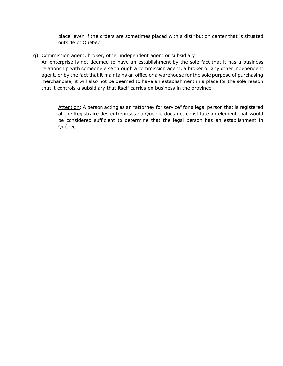place, even if the orders are sometimes placed with a distribution center that is situated outside of Québec.

g) Commission agent, broker, other independent agent or subsidiary:

An enterprise is not deemed to have an establishment by the sole fact that it has a business relationship with someone else through a commission agent, a broker or any other independent agent, or by the fact that it maintains an office or a warehouse for the sole purpose of purchasing merchandise; it will also not be deemed to have an establishment in a place for the sole reason that it controls a subsidiary that itself carries on business in the province.

Attention: A person acting as an "attorney for service" for a legal person that is registered at the Registraire des entreprises du Québec does not constitute an element that would be considered sufficient to determine that the legal person has an establishment in Québec.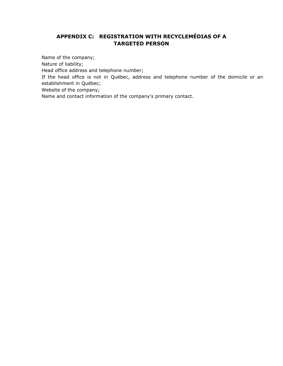## <span id="page-36-0"></span>**APPENDIX C: REGISTRATION WITH RECYCLEMÉDIAS OF A TARGETED PERSON**

Name of the company;

Nature of liability;

Head office address and telephone number;

If the head office is not in Québec, address and telephone number of the domicile or an establishment in Québec;

Website of the company;

Name and contact information of the company's primary contact.